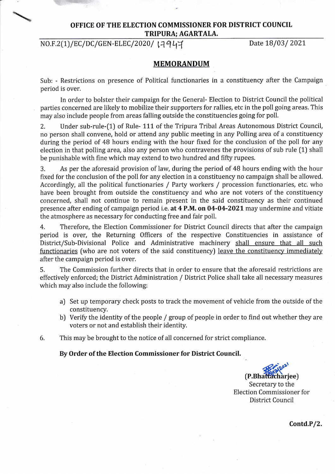## **OFFICE OF THE ELECTION COMMISSIONER FOR DISTRICT COUNCIL TRIPURA: AGARTALA.**

NO.F.2(1)/EC/DC/GEN-ELEC/2020/ 17947 Date 18/03/ 2021

## **MEMORANDUM**

Sub: - Restrictions on presence of Political functionaries in a constituency after the Campaign period is over.

In order to bolster their campaign for the General- Election to District Council the political parties concerned are likely to mobilize their supporters for rallies, etc in the poll going areas. This may also include people from areas falling outside the constituencies going for poll.

2. Under sub-rule-(1) of Rule- 111 of the Tripura Tribal Areas Autonomous District Council, no person shall convene, hold or attend any public meeting in any Polling area of a constituency during the period of 48 hours ending with the hour fixed for the conclusion of the poll for any election in that polling area, also any person who contravenes the provisions of sub rule (1) shall be punishable with fine which may extend to two hundred and fifty rupees.

3. As per the aforesaid provision of law, during the period of 48 hours ending with the hour fixed for the conclusion of the poll for any election in a constituency no campaign shall be allowed. Accordingly, all the political functionaries / Party workers / procession functionaries, etc. who have been brought from outside the constituency and who are not voters of the constituency concerned, shall not continue to remain present in the said constituency as their continued presence after ending of campaign period i.e. **at 4 P.M. on 04-04-2021** may undermine and vitiate the atmosphere as necessary for conducting free and fair poll.

4. Therefore, the Election Commissioner for District Council directs that after the campaign period is over, the Returning Officers of the respective Constituencies in assistance of District/Sub-Divisional Police and Administrative machinery shall ensure that all such functionaries (who are not voters of the said constituency) leave the constituency immediately after the campaign period is over.

5. The Commission further directs that in order to ensure that the aforesaid restrictions are effectively enforced; the District Administration / District Police shall take all necessary measures which may also include the following:

- a) Set up temporary check posts to track the movement of vehicle from the outside of the constituency.
- b) Verify the identity of the people/ group of people in order to find out whether they are voters or not and establish their identity.
- 6. This may be brought to the notice of all concerned for strict compliance.

**By Order of the Election Commissioner for District Council.** 

 $(P.Bhattacharjee)$ Secretary to the Election Commissioner for District Council

**Contd.P/2.**